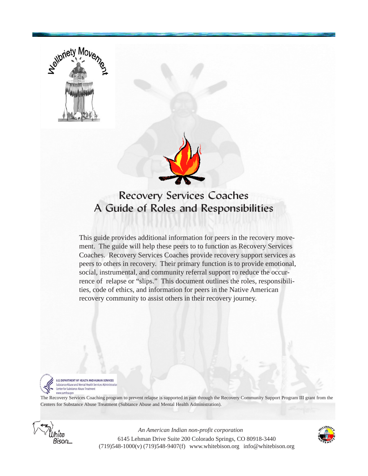

# Recovery Services Coaches A Guide of Roles and Responsibilities

This guide provides additional information for peers in the recovery movement. The guide will help these peers to to function as Recovery Services Coaches. Recovery Services Coaches provide recovery support services as peers to others in recovery. Their primary function is to provide emotional, social, instrumental, and community referral support ro reduce the occurrence of relapse or "slips." This document outlines the roles, responsibilities, code of ethics, and information for peers in the Native American recovery community to assist others in their recovery journey.



**U.S. DEPARTMENT OF HEALTH AND HUMAN SERVICES** Substance Abuse and Mental Health Services Administratio Center for Substance Abuse Treatment www.samhsa.gov

The Recovery Services Coaching program to prevent relapse is supported in part through the Recovery Community Support Program III grant from the Centers for Substance Abuse Treatment (Subtance Abuse and Mental Health Administration).



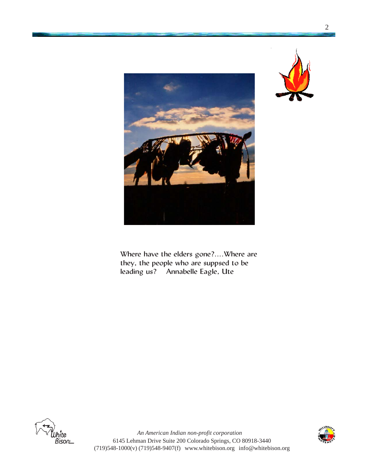

Where have the elders gone?....Where are they, the people who are suppsed to be leading us? Annabelle Eagle, Ute



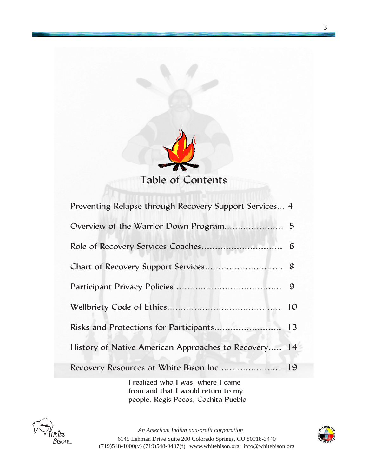

| Preventing Relapse through Recovery Support Services 4 |  |
|--------------------------------------------------------|--|
|                                                        |  |
|                                                        |  |
|                                                        |  |
|                                                        |  |
|                                                        |  |
| Risks and Protections for Participants 13              |  |
| History of Native American Approaches to Recovery 14   |  |
| Recovery Resources at White Bison Inc 19               |  |

I realized who I was, where I came from and that I would return to my people. Regis Pecos, Cochita Pueblo



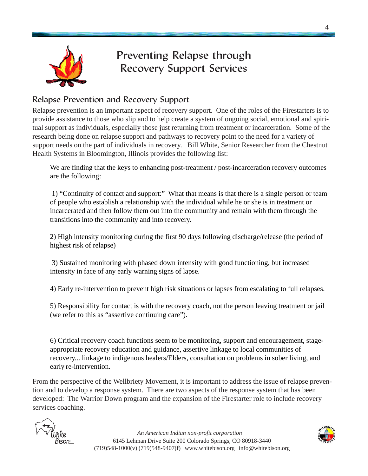

# Preventing Relapse through Recovery Support Services

#### Relapse Prevention and Recovery Support

Relapse prevention is an important aspect of recovery support. One of the roles of the Firestarters is to provide assistance to those who slip and to help create a system of ongoing social, emotional and spiritual support as individuals, especially those just returning from treatment or incarceration. Some of the research being done on relapse support and pathways to recovery point to the need for a variety of support needs on the part of individuals in recovery. Bill White, Senior Researcher from the Chestnut Health Systems in Bloomington, Illinois provides the following list:

We are finding that the keys to enhancing post-treatment / post-incarceration recovery outcomes are the following:

 1) "Continuity of contact and support:" What that means is that there is a single person or team of people who establish a relationship with the individual while he or she is in treatment or incarcerated and then follow them out into the community and remain with them through the transitions into the community and into recovery.

2) High intensity monitoring during the first 90 days following discharge/release (the period of highest risk of relapse)

 3) Sustained monitoring with phased down intensity with good functioning, but increased intensity in face of any early warning signs of lapse.

4) Early re-intervention to prevent high risk situations or lapses from escalating to full relapses.

5) Responsibility for contact is with the recovery coach, not the person leaving treatment or jail (we refer to this as "assertive continuing care").

6) Critical recovery coach functions seem to be monitoring, support and encouragement, stageappropriate recovery education and guidance, assertive linkage to local communities of recovery... linkage to indigenous healers/Elders, consultation on problems in sober living, and early re-intervention.

From the perspective of the Wellbriety Movement, it is important to address the issue of relapse prevention and to develop a response system. There are two aspects of the response system that has been developed: The Warrior Down program and the expansion of the Firestarter role to include recovery services coaching.



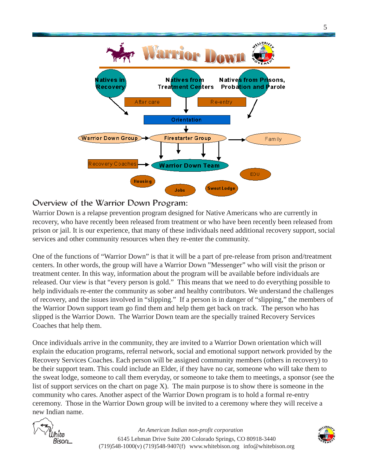

#### Overview of the Warrior Down Program:

Warrior Down is a relapse prevention program designed for Native Americans who are currently in recovery, who have recently been released from treatment or who have been recently been released from prison or jail. It is our experience, that many of these individuals need additional recovery support, social services and other community resources when they re-enter the community.

One of the functions of "Warrior Down" is that it will be a part of pre-release from prison and/treatment centers. In other words, the group will have a Warrior Down "Messenger" who will visit the prison or treatment center. In this way, information about the program will be available before individuals are released. Our view is that "every person is gold." This means that we need to do everything possible to help individuals re-enter the community as sober and healthy contributors. We understand the challenges of recovery, and the issues involved in "slipping." If a person is in danger of "slipping," the members of the Warrior Down support team go find them and help them get back on track. The person who has slipped is the Warrior Down. The Warrior Down team are the specially trained Recovery Services Coaches that help them.

Once individuals arrive in the community, they are invited to a Warrior Down orientation which will explain the education programs, referral network, social and emotional support network provided by the Recovery Services Coaches. Each person will be assigned community members (others in recovery) to be their support team. This could include an Elder, if they have no car, someone who will take them to the sweat lodge, someone to call them everyday, or someone to take them to meetings, a sponsor (see the list of support services on the chart on page X). The main purpose is to show there is someone in the community who cares. Another aspect of the Warrior Down program is to hold a formal re-entry ceremony. Those in the Warrior Down group will be invited to a ceremony where they will receive a new Indian name.



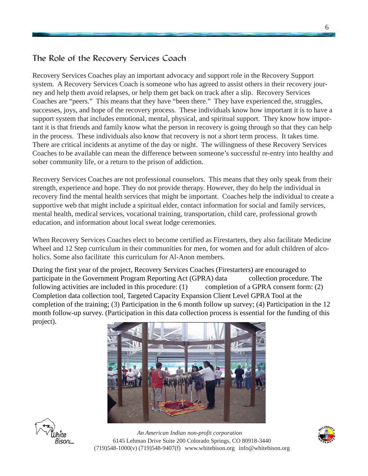#### The Role of the Recovery Services Coach

Recovery Services Coaches play an important advocacy and support role in the Recovery Support system. A Recovery Services Coach is someone who has agreed to assist others in their recovery journey and help them avoid relapses, or help them get back on track after a slip. Recovery Services Coaches are "peers." This means that they have "been there." They have experienced the, struggles, successes, joys, and hope of the recovery process. These individuals know how important it is to have a support system that includes emotional, mental, physical, and spiritual support. They know how important it is that friends and family know what the person in recovery is going through so that they can help in the process. These individuals also know that recovery is not a short term process. It takes time. There are critical incidents at anytime of the day or night. The willingness of these Recovery Services Coaches to be available can mean the difference between someone's successful re-entry into healthy and sober community life, or a return to the prison of addiction.

Recovery Services Coaches are not professional counselors. This means that they only speak from their strength, experience and hope. They do not provide therapy. However, they do help the individual in recovery find the mental health services that might be important. Coaches help the individual to create a supportive web that might include a spiritual elder, contact information for social and family services, mental health, medical services, vocational training, transportation, child care, professional growth education, and information about local sweat lodge ceremonies.

When Recovery Services Coaches elect to become certified as Firestarters, they also facilitate Medicine Wheel and 12 Step curriculum in their communities for men, for women and for adult children of alcoholics. Some also facilitate this curriculum for Al-Anon members.

During the first year of the project, Recovery Services Coaches (Firestarters) are encouraged to participate in the Government Program Reporting Act (GPRA) data collection procedure. The following activities are included in this procedure: (1) completion of a GPRA consent form: (2) Completion data collection tool, Targeted Capacity Expansion Client Level GPRA Tool at the completion of the training; (3) Participation in the 6 month follow up survey; (4) Participation in the 12 month follow-up survey. (Participation in this data collection process is essential for the funding of this project).





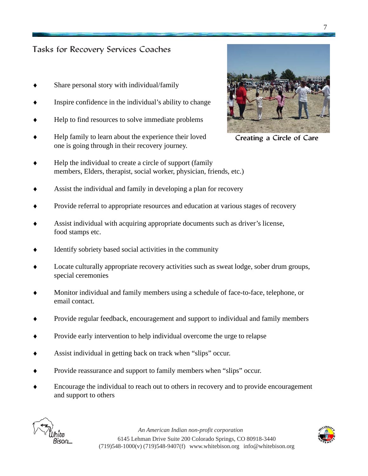#### Tasks for Recovery Services Coaches

- Share personal story with individual/family
- Inspire confidence in the individual's ability to change
- Help to find resources to solve immediate problems
- Help family to learn about the experience their loved one is going through in their recovery journey.
- Help the individual to create a circle of support (family members, Elders, therapist, social worker, physician, friends, etc.)
- Assist the individual and family in developing a plan for recovery
- Provide referral to appropriate resources and education at various stages of recovery
- Assist individual with acquiring appropriate documents such as driver's license, food stamps etc.
- Identify sobriety based social activities in the community
- Locate culturally appropriate recovery activities such as sweat lodge, sober drum groups, special ceremonies
- Monitor individual and family members using a schedule of face-to-face, telephone, or email contact.
- ♦ Provide regular feedback, encouragement and support to individual and family members
- Provide early intervention to help individual overcome the urge to relapse
- Assist individual in getting back on track when "slips" occur.
- Provide reassurance and support to family members when "slips" occur.
- Encourage the individual to reach out to others in recovery and to provide encouragement and support to others





Creating a Circle of Care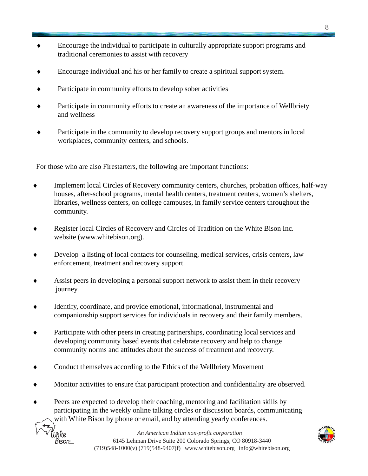- ♦ Encourage the individual to participate in culturally appropriate support programs and traditional ceremonies to assist with recovery
- Encourage individual and his or her family to create a spiritual support system.
- Participate in community efforts to develop sober activities
- Participate in community efforts to create an awareness of the importance of Wellbriety and wellness
- Participate in the community to develop recovery support groups and mentors in local workplaces, community centers, and schools.

For those who are also Firestarters, the following are important functions:

- Implement local Circles of Recovery community centers, churches, probation offices, half-way houses, after-school programs, mental health centers, treatment centers, women's shelters, libraries, wellness centers, on college campuses, in family service centers throughout the community.
- Register local Circles of Recovery and Circles of Tradition on the White Bison Inc. website (www.whitebison.org).
- Develop a listing of local contacts for counseling, medical services, crisis centers, law enforcement, treatment and recovery support.
- Assist peers in developing a personal support network to assist them in their recovery journey.
- Identify, coordinate, and provide emotional, informational, instrumental and companionship support services for individuals in recovery and their family members.
- ♦ Participate with other peers in creating partnerships, coordinating local services and developing community based events that celebrate recovery and help to change community norms and attitudes about the success of treatment and recovery.
- Conduct themselves according to the Ethics of the Wellbriety Movement

ľUhite Bison L

- Monitor activities to ensure that participant protection and confidentiality are observed.
- ♦ Peers are expected to develop their coaching, mentoring and facilitation skills by participating in the weekly online talking circles or discussion boards, communicating with White Bison by phone or email, and by attending yearly conferences.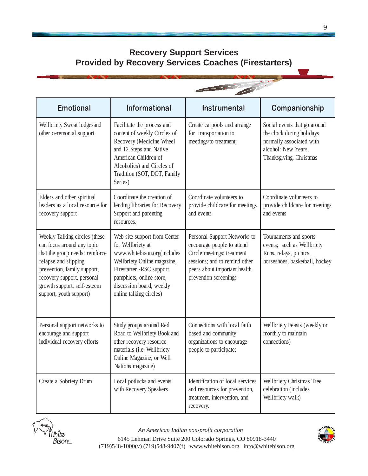## **Recovery Support Services Provided by Recovery Services Coaches (Firestarters)**

|                                                                                                                                                                                                                                               | and the contract of the contract of                                                                                                                                                                                            |                                                                                                                                                                                    |                                                                                                                                         |  |
|-----------------------------------------------------------------------------------------------------------------------------------------------------------------------------------------------------------------------------------------------|--------------------------------------------------------------------------------------------------------------------------------------------------------------------------------------------------------------------------------|------------------------------------------------------------------------------------------------------------------------------------------------------------------------------------|-----------------------------------------------------------------------------------------------------------------------------------------|--|
| <b>Emotional</b>                                                                                                                                                                                                                              | Informational                                                                                                                                                                                                                  | <b>Instrumental</b>                                                                                                                                                                | Companionship                                                                                                                           |  |
| Wellbriety Sweat lodgesand<br>other ceremonial support                                                                                                                                                                                        | Facilitate the process and<br>content of weekly Circles of<br>Recovery (Medicine Wheel<br>and 12 Steps and Native<br>American Children of<br>Alcoholics) and Circles of<br>Tradition (SOT, DOT, Family<br>Series)              | Create carpools and arrange<br>for transportation to<br>meetings/to treatment;                                                                                                     | Social events that go around<br>the clock during holidays<br>normally associated with<br>alcohol: New Years,<br>Thanksgiving, Christmas |  |
| Elders and other spiritual<br>leaders as a local resource for<br>recovery support                                                                                                                                                             | Coordinate the creation of<br>lending libraries for Recovery<br>Support and parenting<br>resources.                                                                                                                            | Coordinate volunteers to<br>provide childcare for meetings<br>and events                                                                                                           | Coordinate volunteers to<br>provide childcare for meetings<br>and events                                                                |  |
| Weekly Talking circles (these<br>can focus around any topic<br>that the group needs: reinforce<br>relapse and slipping<br>prevention, family support,<br>recovery support, personal<br>growth support, self-esteem<br>support, youth support) | Web site support from Center<br>for Wellbriety at<br>www.whitebison.org(includes<br>Wellbriety Online magazine,<br>Firestarter -RSC support<br>pamphlets, online store,<br>discussion board, weekly<br>online talking circles) | Personal Support Networks to<br>encourage people to attend<br>Circle meetings; treatment<br>sessions; and to remind other<br>peers about important health<br>prevention screenings | Tournaments and sports<br>events; such as Wellbriety<br>Runs, relays, picnics,<br>horseshoes, basketball, hockey                        |  |
| Personal support networks to<br>encourage and support<br>individual recovery efforts                                                                                                                                                          | Study groups around Red<br>Road to Wellbriety Book and<br>other recovery resource<br>materials (i.e. Wellbriety<br>Online Magazine, or Well<br>Nations magazine)                                                               | Connections with local faith<br>based and community<br>organizations to encourage<br>people to participate;                                                                        | Wellbriety Feasts (weekly or<br>monthly to maintain<br>connections)                                                                     |  |
| Create a Sobriety Drum                                                                                                                                                                                                                        | Local potlucks and events<br>with Recovery Speakers                                                                                                                                                                            | Identification of local services<br>and resources for prevention,<br>treatment, intervention, and<br>recovery.                                                                     | Wellbriety Christmas Tree<br>celebration (includes<br>Wellbriety walk)                                                                  |  |



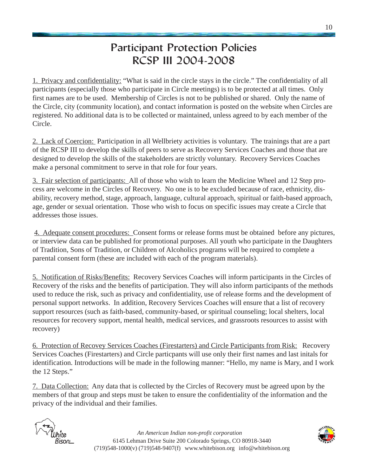# Participant Protection Policies RCSP III 2004-2008

1. Privacy and confidentiality: "What is said in the circle stays in the circle." The confidentiality of all participants (especially those who participate in Circle meetings) is to be protected at all times. Only first names are to be used. Membership of Circles is not to be published or shared. Only the name of the Circle, city (community location), and contact information is posted on the website when Circles are registered. No additional data is to be collected or maintained, unless agreed to by each member of the Circle.

2. Lack of Coercion: Participation in all Wellbriety activities is voluntary. The trainings that are a part of the RCSP III to develop the skills of peers to serve as Recovery Services Coaches and those that are designed to develop the skills of the stakeholders are strictly voluntary. Recovery Services Coaches make a personal commitment to serve in that role for four years.

3. Fair selection of participants: All of those who wish to learn the Medicine Wheel and 12 Step process are welcome in the Circles of Recovery. No one is to be excluded because of race, ethnicity, disability, recovery method, stage, approach, language, cultural approach, spiritual or faith-based approach, age, gender or sexual orientation. Those who wish to focus on specific issues may create a Circle that addresses those issues.

4. Adequate consent procedures: Consent forms or release forms must be obtained before any pictures, or interview data can be published for promotional purposes. All youth who participate in the Daughters of Tradition, Sons of Tradition, or Children of Alcoholics programs will be required to complete a parental consent form (these are included with each of the program materials).

5. Notification of Risks/Benefits: Recovery Services Coaches will inform participants in the Circles of Recovery of the risks and the benefits of participation. They will also inform participants of the methods used to reduce the risk, such as privacy and confidentiality, use of release forms and the development of personal support networks. In addition, Recovery Services Coaches will ensure that a list of recovery support resources (such as faith-based, community-based, or spiritual counseling; local shelters, local resources for recovery support, mental health, medical services, and grassroots resources to assist with recovery)

6. Protection of Recovey Services Coaches (Firestarters) and Circle Participants from Risk: Recovery Services Coaches (Firestarters) and Circle particpants will use only their first names and last initals for identification. Introductions will be made in the following manner: "Hello, my name is Mary, and I work the 12 Steps."

7. Data Collection: Any data that is collected by the Circles of Recovery must be agreed upon by the members of that group and steps must be taken to ensure the confidentiality of the information and the privacy of the individual and their families.



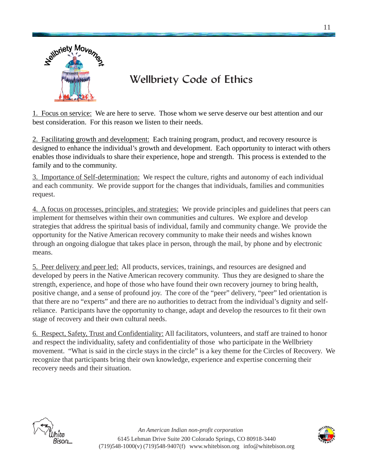

# Wellbriety Code of Ethics

1. Focus on service: We are here to serve. Those whom we serve deserve our best attention and our best consideration. For this reason we listen to their needs.

2. Facilitating growth and development: Each training program, product, and recovery resource is designed to enhance the individual's growth and development. Each opportunity to interact with others enables those individuals to share their experience, hope and strength. This process is extended to the family and to the community.

3. Importance of Self-determination: We respect the culture, rights and autonomy of each individual and each community. We provide support for the changes that individuals, families and communities request.

4. A focus on processes, principles, and strategies: We provide principles and guidelines that peers can implement for themselves within their own communities and cultures. We explore and develop strategies that address the spiritual basis of individual, family and community change. We provide the opportunity for the Native American recovery community to make their needs and wishes known through an ongoing dialogue that takes place in person, through the mail, by phone and by electronic means.

5. Peer delivery and peer led: All products, services, trainings, and resources are designed and developed by peers in the Native American recovery community. Thus they are designed to share the strength, experience, and hope of those who have found their own recovery journey to bring health, positive change, and a sense of profound joy. The core of the "peer" delivery, "peer" led orientation is that there are no "experts" and there are no authorities to detract from the individual's dignity and selfreliance. Participants have the opportunity to change, adapt and develop the resources to fit their own stage of recovery and their own cultural needs.

6. Respect, Safety, Trust and Confidentiality: All facilitators, volunteers, and staff are trained to honor and respect the individuality, safety and confidentiality of those who participate in the Wellbriety movement. "What is said in the circle stays in the circle" is a key theme for the Circles of Recovery. We recognize that participants bring their own knowledge, experience and expertise concerning their recovery needs and their situation.



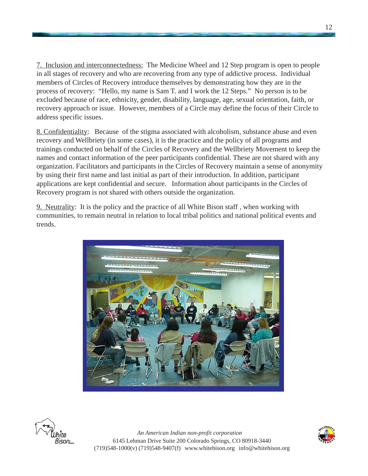7. Inclusion and interconnectedness: The Medicine Wheel and 12 Step program is open to people in all stages of recovery and who are recovering from any type of addictive process. Individual members of Circles of Recovery introduce themselves by demonstrating how they are in the process of recovery: "Hello, my name is Sam T. and I work the 12 Steps." No person is to be excluded because of race, ethnicity, gender, disability, language, age, sexual orientation, faith, or recovery approach or issue. However, members of a Circle may define the focus of their Circle to address specific issues.

8. Confidentiality: Because of the stigma associated with alcoholism, substance abuse and even recovery and Wellbriety (in some cases), it is the practice and the policy of all programs and trainings conducted on behalf of the Circles of Recovery and the Wellbriety Movement to keep the names and contact information of the peer participants confidential. These are not shared with any organization. Facilitators and participants in the Circles of Recovery maintain a sense of anonymity by using their first name and last initial as part of their introduction. In addition, participant applications are kept confidential and secure. Information about participants in the Circles of Recovery program is not shared with others outside the organization.

9. Neutrality: It is the policy and the practice of all White Bison staff , when working with communities, to remain neutral in relation to local tribal politics and national political events and trends.



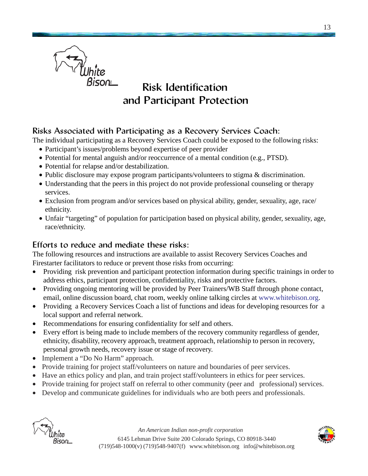

## Risk Identification and Participant Protection

## Risks Associated with Participating as a Recovery Services Coach:

The individual participating as a Recovery Services Coach could be exposed to the following risks:

- Participant's issues/problems beyond expertise of peer provider
- Potential for mental anguish and/or reoccurrence of a mental condition (e.g., PTSD).
- Potential for relapse and/or destabilization.
- Public disclosure may expose program participants/volunteers to stigma & discrimination.
- Understanding that the peers in this project do not provide professional counseling or therapy services.
- Exclusion from program and/or services based on physical ability, gender, sexuality, age, race/ ethnicity.
- Unfair "targeting" of population for participation based on physical ability, gender, sexuality, age, race/ethnicity.

#### Efforts to reduce and mediate these risks:

The following resources and instructions are available to assist Recovery Services Coaches and Firestarter facilitators to reduce or prevent those risks from occurring:

- Providing risk prevention and participant protection information during specific trainings in order to address ethics, participant protection, confidentiality, risks and protective factors.
- Providing ongoing mentoring will be provided by Peer Trainers/WB Staff through phone contact, email, online discussion board, chat room, weekly online talking circles at www.whitebison.org.
- Providing a Recovery Services Coach a list of functions and ideas for developing resources for a local support and referral network.
- Recommendations for ensuring confidentiality for self and others.
- Every effort is being made to include members of the recovery community regardless of gender, ethnicity, disability, recovery approach, treatment approach, relationship to person in recovery, personal growth needs, recovery issue or stage of recovery.
- Implement a "Do No Harm" approach.
- Provide training for project staff/volunteers on nature and boundaries of peer services.
- Have an ethics policy and plan, and train project staff/volunteers in ethics for peer services.
- Provide training for project staff on referral to other community (peer and professional) services.
- Develop and communicate guidelines for individuals who are both peers and professionals.



*An American Indian non-profit corporation*



6145 Lehman Drive Suite 200 Colorado Springs, CO 80918-3440 (719)548-1000(v) (719)548-9407(f) www.whitebison.org info@whitebison.org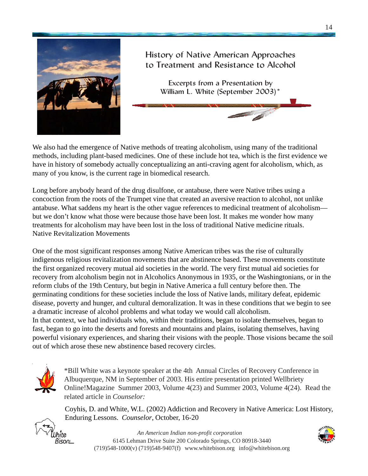

## History of Native American Approaches to Treatment and Resistance to Alcohol

Excerpts from a Presentation by William L. White (September 2003)\*

We also had the emergence of Native methods of treating alcoholism, using many of the traditional methods, including plant-based medicines. One of these include hot tea, which is the first evidence we have in history of somebody actually conceptualizing an anti-craving agent for alcoholism, which, as many of you know, is the current rage in biomedical research.

Long before anybody heard of the drug disulfone, or antabuse, there were Native tribes using a concoction from the roots of the Trumpet vine that created an aversive reaction to alcohol, not unlike antabuse. What saddens my heart is the other vague references to medicinal treatment of alcoholism but we don't know what those were because those have been lost. It makes me wonder how many treatments for alcoholism may have been lost in the loss of traditional Native medicine rituals. Native Revitalization Movements

One of the most significant responses among Native American tribes was the rise of culturally indigenous religious revitalization movements that are abstinence based. These movements constitute the first organized recovery mutual aid societies in the world. The very first mutual aid societies for recovery from alcoholism begin not in Alcoholics Anonymous in 1935, or the Washingtonians, or in the reform clubs of the 19th Century, but begin in Native America a full century before then. The germinating conditions for these societies include the loss of Native lands, military defeat, epidemic disease, poverty and hunger, and cultural demoralization. It was in these conditions that we begin to see a dramatic increase of alcohol problems and what today we would call alcoholism. In that context, we had individuals who, within their traditions, began to isolate themselves, began to fast, began to go into the deserts and forests and mountains and plains, isolating themselves, having powerful visionary experiences, and sharing their visions with the people. Those visions became the soil out of which arose these new abstinence based recovery circles.



\*Bill White was a keynote speaker at the 4th Annual Circles of Recovery Conference in Albuquerque, NM in September of 2003. His entire presentation printed Wellbriety Online!Magazine Summer 2003, Volume 4(23) and Summer 2003, Volume 4(24). Read the related article in *Counselor:*

Coyhis, D. and White, W.L. (2002) Addiction and Recovery in Native America: Lost History, Enduring Lessons. *Counselor*, October, 16-20



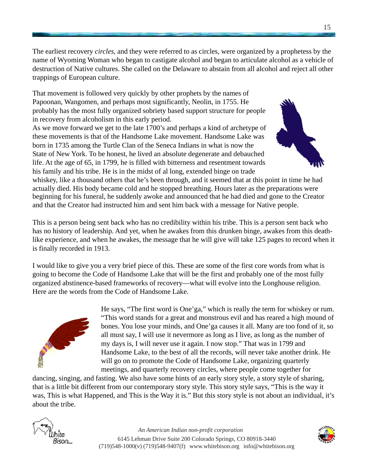The earliest recovery *circles*, and they were referred to as circles, were organized by a prophetess by the name of Wyoming Woman who began to castigate alcohol and began to articulate alcohol as a vehicle of destruction of Native cultures. She called on the Delaware to abstain from all alcohol and reject all other trappings of European culture.

That movement is followed very quickly by other prophets by the names of Papoonan, Wangomen, and perhaps most significantly, Neolin, in 1755. He probably has the most fully organized sobriety based support structure for people in recovery from alcoholism in this early period.

As we move forward we get to the late 1700's and perhaps a kind of archetype of these movements is that of the Handsome Lake movement. Handsome Lake was born in 1735 among the Turtle Clan of the Seneca Indians in what is now the State of New York. To be honest, he lived an absolute degenerate and debauched life. At the age of 65, in 1799, he is filled with bitterness and resentment towards his family and his tribe. He is in the midst of al long, extended binge on trade



whiskey, like a thousand others that he's been through, and it seemed that at this point in time he had actually died. His body became cold and he stopped breathing. Hours later as the preparations were beginning for his funeral, he suddenly awoke and announced that he had died and gone to the Creator and that the Creator had instructed him and sent him back with a message for Native people.

This is a person being sent back who has no credibility within his tribe. This is a person sent back who has no history of leadership. And yet, when he awakes from this drunken binge, awakes from this deathlike experience, and when he awakes, the message that he will give will take 125 pages to record when it is finally recorded in 1913.

I would like to give you a very brief piece of this. These are some of the first core words from what is going to become the Code of Handsome Lake that will be the first and probably one of the most fully organized abstinence-based frameworks of recovery—what will evolve into the Longhouse religion. Here are the words from the Code of Handsome Lake.



He says, "The first word is One'ga," which is really the term for whiskey or rum. "This word stands for a great and monstrous evil and has reared a high mound of bones. You lose your minds, and One'ga causes it all. Many are too fond of it, so all must say, I will use it nevermore as long as I live, as long as the number of my days is, I will never use it again. I now stop." That was in 1799 and Handsome Lake, to the best of all the records, will never take another drink. He will go on to promote the Code of Handsome Lake, organizing quarterly meetings, and quarterly recovery circles, where people come together for

dancing, singing, and fasting. We also have some hints of an early story style, a story style of sharing, that is a little bit different from our contemporary story style. This story style says, "This is the way it was, This is what Happened, and This is the Way it is." But this story style is not about an individual, it's about the tribe.



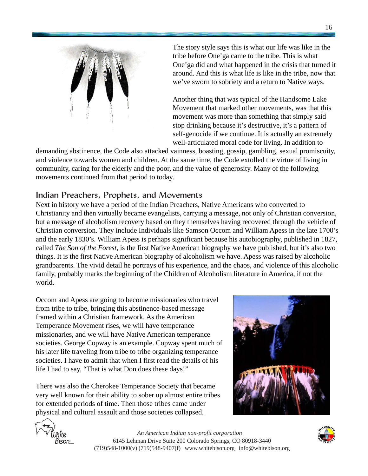

The story style says this is what our life was like in the tribe before One'ga came to the tribe. This is what One'ga did and what happened in the crisis that turned it around. And this is what life is like in the tribe, now that we've sworn to sobriety and a return to Native ways.

Another thing that was typical of the Handsome Lake Movement that marked other movements, was that this movement was more than something that simply said stop drinking because it's destructive, it's a pattern of self-genocide if we continue. It is actually an extremely well-articulated moral code for living. In addition to

demanding abstinence, the Code also attacked vainness, boasting, gossip, gambling, sexual promiscuity, and violence towards women and children. At the same time, the Code extolled the virtue of living in community, caring for the elderly and the poor, and the value of generosity. Many of the following movements continued from that period to today.

#### Indian Preachers, Prophets, and Movements

Next in history we have a period of the Indian Preachers, Native Americans who converted to Christianity and then virtually became evangelists, carrying a message, not only of Christian conversion, but a message of alcoholism recovery based on they themselves having recovered through the vehicle of Christian conversion. They include Individuals like Samson Occom and William Apess in the late 1700's and the early 1830's. William Apess is perhaps significant because his autobiography, published in 1827, called *The Son of the Forest*, is the first Native American biography we have published, but it's also two things. It is the first Native American biography of alcoholism we have. Apess was raised by alcoholic grandparents. The vivid detail he portrays of his experience, and the chaos, and violence of this alcoholic family, probably marks the beginning of the Children of Alcoholism literature in America, if not the world.

Occom and Apess are going to become missionaries who travel from tribe to tribe, bringing this abstinence-based message framed within a Christian framework. As the American Temperance Movement rises, we will have temperance missionaries, and we will have Native American temperance societies. George Copway is an example. Copway spent much of his later life traveling from tribe to tribe organizing temperance societies. I have to admit that when I first read the details of his life I had to say, "That is what Don does these days!"

There was also the Cherokee Temperance Society that became very well known for their ability to sober up almost entire tribes for extended periods of time. Then those tribes came under physical and cultural assault and those societies collapsed.





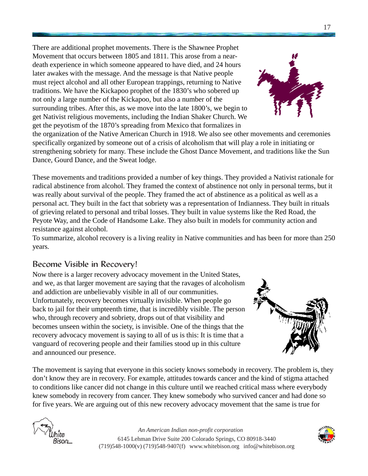There are additional prophet movements. There is the Shawnee Prophet Movement that occurs between 1805 and 1811. This arose from a neardeath experience in which someone appeared to have died, and 24 hours later awakes with the message. And the message is that Native people must reject alcohol and all other European trappings, returning to Native traditions. We have the Kickapoo prophet of the 1830's who sobered up not only a large number of the Kickapoo, but also a number of the surrounding tribes. After this, as we move into the late 1800's, we begin to get Nativist religious movements, including the Indian Shaker Church. We get the peyotism of the 1870's spreading from Mexico that formalizes in

the organization of the Native American Church in 1918. We also see other movements and ceremonies specifically organized by someone out of a crisis of alcoholism that will play a role in initiating or strengthening sobriety for many. These include the Ghost Dance Movement, and traditions like the Sun Dance, Gourd Dance, and the Sweat lodge.

These movements and traditions provided a number of key things. They provided a Nativist rationale for radical abstinence from alcohol. They framed the context of abstinence not only in personal terms, but it was really about survival of the people. They framed the act of abstinence as a political as well as a personal act. They built in the fact that sobriety was a representation of Indianness. They built in rituals of grieving related to personal and tribal losses. They built in value systems like the Red Road, the Peyote Way, and the Code of Handsome Lake. They also built in models for community action and resistance against alcohol.

To summarize, alcohol recovery is a living reality in Native communities and has been for more than 250 years.

## Become Visible in Recovery!

Now there is a larger recovery advocacy movement in the United States, and we, as that larger movement are saying that the ravages of alcoholism and addiction are unbelievably visible in all of our communities. Unfortunately, recovery becomes virtually invisible. When people go back to jail for their umpteenth time, that is incredibly visible. The person who, through recovery and sobriety, drops out of that visibility and becomes unseen within the society, is invisible. One of the things that the recovery advocacy movement is saying to all of us is this: It is time that a vanguard of recovering people and their families stood up in this culture and announced our presence.

The movement is saying that everyone in this society knows somebody in recovery. The problem is, they don't know they are in recovery. For example, attitudes towards cancer and the kind of stigma attached to conditions like cancer did not change in this culture until we reached critical mass where everybody knew somebody in recovery from cancer. They knew somebody who survived cancer and had done so for five years. We are arguing out of this new recovery advocacy movement that the same is true for







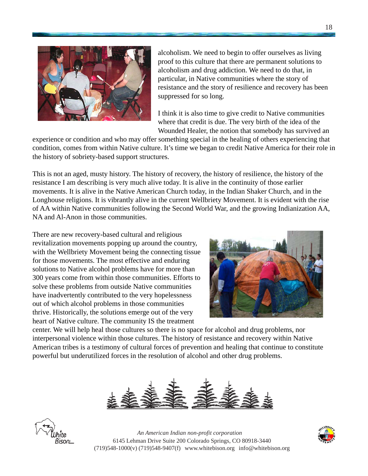

alcoholism. We need to begin to offer ourselves as living proof to this culture that there are permanent solutions to alcoholism and drug addiction. We need to do that, in particular, in Native communities where the story of resistance and the story of resilience and recovery has been suppressed for so long.

I think it is also time to give credit to Native communities where that credit is due. The very birth of the idea of the Wounded Healer, the notion that somebody has survived an

experience or condition and who may offer something special in the healing of others experiencing that condition, comes from within Native culture. It's time we began to credit Native America for their role in the history of sobriety-based support structures.

This is not an aged, musty history. The history of recovery, the history of resilience, the history of the resistance I am describing is very much alive today. It is alive in the continuity of those earlier movements. It is alive in the Native American Church today, in the Indian Shaker Church, and in the Longhouse religions. It is vibrantly alive in the current Wellbriety Movement. It is evident with the rise of AA within Native communities following the Second World War, and the growing Indianization AA, NA and Al-Anon in those communities.

There are new recovery-based cultural and religious revitalization movements popping up around the country, with the Wellbriety Movement being the connecting tissue for those movements. The most effective and enduring solutions to Native alcohol problems have for more than 300 years come from within those communities. Efforts to solve these problems from outside Native communities have inadvertently contributed to the very hopelessness out of which alcohol problems in those communities thrive. Historically, the solutions emerge out of the very heart of Native culture. The community IS the treatment



center. We will help heal those cultures so there is no space for alcohol and drug problems, nor interpersonal violence within those cultures. The history of resistance and recovery within Native American tribes is a testimony of cultural forces of prevention and healing that continue to constitute powerful but underutilized forces in the resolution of alcohol and other drug problems.





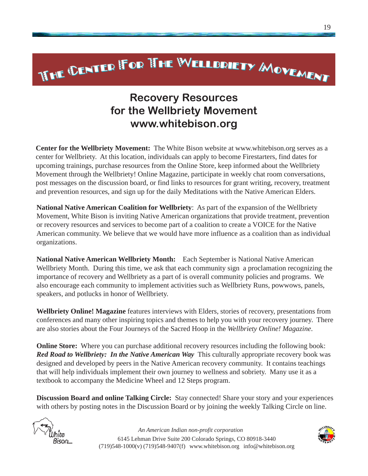# **WHE CENTER FOR THE WELLBRIETY MOVEMENT**

# Recovery Resources for the Wellbriety Movement www.whitebison.org

**Center for the Wellbriety Movement:** The White Bison website at www.whitebison.org serves as a center for Wellbriety. At this location, individuals can apply to become Firestarters, find dates for upcoming trainings, purchase resources from the Online Store, keep informed about the Wellbriety Movement through the Wellbriety! Online Magazine, participate in weekly chat room conversations, post messages on the discussion board, or find links to resources for grant writing, recovery, treatment and prevention resources, and sign up for the daily Meditations with the Native American Elders.

**National Native American Coalition for Wellbriety**: As part of the expansion of the Wellbriety Movement, White Bison is inviting Native American organizations that provide treatment, prevention or recovery resources and services to become part of a coalition to create a VOICE for the Native American community. We believe that we would have more influence as a coalition than as individual organizations.

**National Native American Wellbriety Month:** Each September is National Native American Wellbriety Month. During this time, we ask that each community sign a proclamation recognizing the importance of recovery and Wellbriety as a part of is overall community policies and programs. We also encourage each community to implement activities such as Wellbriety Runs, powwows, panels, speakers, and potlucks in honor of Wellbriety.

**Wellbriety Online! Magazine** features interviews with Elders, stories of recovery, presentations from conferences and many other inspiring topics and themes to help you with your recovery journey. There are also stories about the Four Journeys of the Sacred Hoop in the *Wellbriety Online! Magazine*.

**Online Store:** Where you can purchase additional recovery resources including the following book: *Red Road to Wellbriety: In the Native American Way* This culturally appropriate recovery book was designed and developed by peers in the Native American recovery community. It contains teachings that will help individuals implement their own journey to wellness and sobriety. Many use it as a textbook to accompany the Medicine Wheel and 12 Steps program.

**Discussion Board and online Talking Circle:** Stay connected! Share your story and your experiences with others by posting notes in the Discussion Board or by joining the weekly Talking Circle on line.